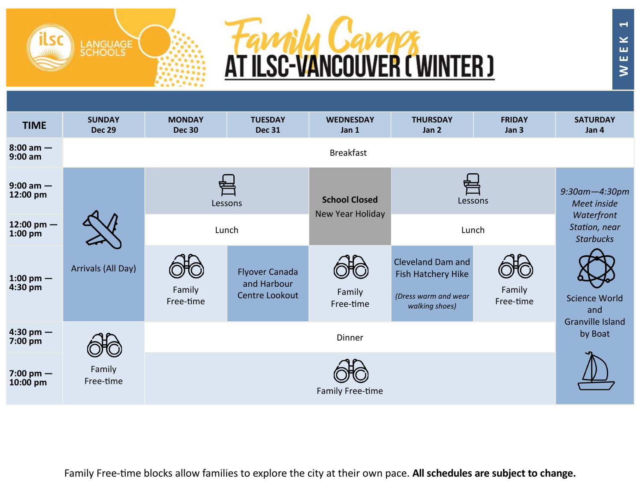## **Family Camps**<br>AT ILSC-VANCOUVER (WINTER)

LANGUAGE<br>SCHOOLS

| <b>TIME</b>                      | <b>SUNDAY</b><br><b>Dec 29</b>          | <b>MONDAY</b><br><b>Dec 30</b> | <b>TUESDAY</b><br><b>Dec 31</b>                        | <b>WEDNESDAY</b><br>Jan 1                | <b>THURSDAY</b><br>Jan 2                                                                 | <b>FRIDAY</b><br>Jan 3 | <b>SATURDAY</b><br>Jan 4                                                               |  |  |  |
|----------------------------------|-----------------------------------------|--------------------------------|--------------------------------------------------------|------------------------------------------|------------------------------------------------------------------------------------------|------------------------|----------------------------------------------------------------------------------------|--|--|--|
| $8:00 \text{ am} -$<br>$9:00$ am |                                         | <b>Breakfast</b>               |                                                        |                                          |                                                                                          |                        |                                                                                        |  |  |  |
| $9:00$ am $-$<br>12:00 pm        |                                         |                                | Lessons                                                | <b>School Closed</b><br>New Year Holiday | Lessons                                                                                  |                        | $9:30$ am $-4:30$ pm<br>Meet inside<br>Waterfront<br>Station, near<br><b>Starbucks</b> |  |  |  |
| 12:00 pm $-$<br>$1:00$ pm        |                                         | Lunch                          |                                                        |                                          | Lunch                                                                                    |                        |                                                                                        |  |  |  |
| 1:00 pm $-$<br>4:30 pm           | Arrivals (All Day)                      | Family<br>Free-time            | <b>Flyover Canada</b><br>and Harbour<br>Centre Lookout | Family<br>Free-time                      | <b>Cleveland Dam and</b><br>Fish Hatchery Hike<br>(Dress warm and wear<br>walking shoes) | Family<br>Free-time    | <b>Science World</b><br>and                                                            |  |  |  |
| $4:30 \text{ pm}$ –<br>7:00 pm   |                                         |                                | <b>Granville Island</b><br>by Boat                     |                                          |                                                                                          |                        |                                                                                        |  |  |  |
| 7:00 pm $-$<br>10:00 pm          | Family<br>Free-time<br>Family Free-time |                                |                                                        |                                          |                                                                                          |                        |                                                                                        |  |  |  |

Family Free-time blocks allow families to explore the city at their own pace. **All schedules are subject to change.**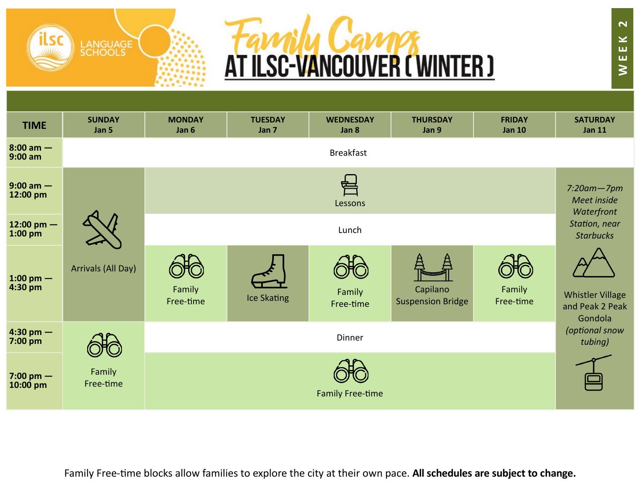



| <b>TIME</b>                       | <b>SUNDAY</b><br>Jan 5 | <b>MONDAY</b><br>Jan 6 | <b>TUESDAY</b><br>Jan 7 | <b>WEDNESDAY</b><br>Jan 8 | <b>THURSDAY</b><br>Jan 9             | <b>FRIDAY</b><br><b>Jan 10</b> | <b>SATURDAY</b><br><b>Jan 11</b>                      |  |
|-----------------------------------|------------------------|------------------------|-------------------------|---------------------------|--------------------------------------|--------------------------------|-------------------------------------------------------|--|
| $8:00 \text{ am} -$<br>$9:00$ am  | <b>Breakfast</b>       |                        |                         |                           |                                      |                                |                                                       |  |
| $9:00$ am $-$<br>12:00 pm         |                        |                        |                         | Lessons                   |                                      |                                | $7:20$ am $-7$ pm<br>Meet inside<br>Waterfront        |  |
| 12:00 pm $-$<br>$1:00 \text{ pm}$ | Lunch                  |                        |                         |                           |                                      |                                |                                                       |  |
| 1:00 pm $-$<br>4:30 pm            | Arrivals (All Day)     | Family<br>Free-time    | <b>Ice Skating</b>      | Family<br>Free-time       | Capilano<br><b>Suspension Bridge</b> | Family<br>Free-time            | <b>Whistler Village</b><br>and Peak 2 Peak<br>Gondola |  |
| $4:30 \text{ pm} -$<br>$7:00$ pm  |                        |                        |                         | Dinner                    |                                      |                                | (optional snow<br>tubing)                             |  |
| $7:00 \text{ pm}$ –<br>10:00 pm   | Family<br>Free-time    |                        |                         | <b>Family Free-time</b>   |                                      |                                |                                                       |  |

Family Free-time blocks allow families to explore the city at their own pace. **All schedules are subject to change.**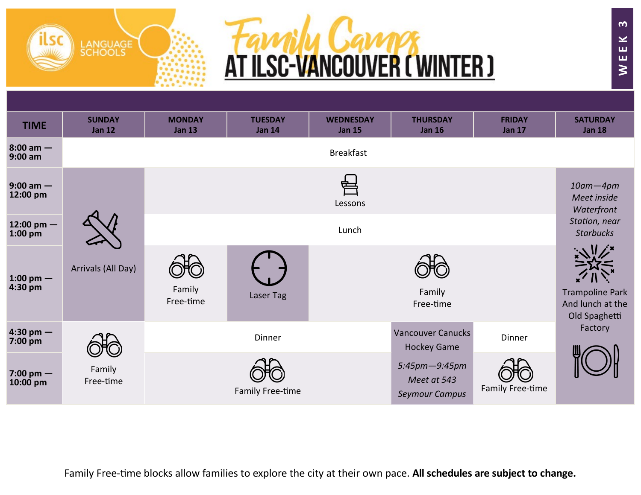



| <b>TIME</b>                       | <b>SUNDAY</b><br><b>Jan 12</b> | <b>MONDAY</b><br><b>Jan 13</b> | <b>TUESDAY</b><br><b>Jan 14</b> | <b>WEDNESDAY</b><br><b>Jan 15</b> | <b>THURSDAY</b><br><b>Jan 16</b>                      | <b>FRIDAY</b><br><b>Jan 17</b> | <b>SATURDAY</b><br><b>Jan 18</b>                            |
|-----------------------------------|--------------------------------|--------------------------------|---------------------------------|-----------------------------------|-------------------------------------------------------|--------------------------------|-------------------------------------------------------------|
| $8:00 \text{ am} -$<br>$9:00$ am  |                                |                                |                                 | <b>Breakfast</b>                  |                                                       |                                |                                                             |
| $9:00$ am $-$<br>12:00 pm         |                                |                                |                                 | 宇<br>Lessons                      |                                                       |                                | $10$ am $-4$ pm<br>Meet inside<br>Waterfront                |
| 12:00 pm $-$<br>$1:00$ pm         |                                |                                |                                 | Lunch                             |                                                       |                                | Station, near<br><b>Starbucks</b>                           |
| 1:00 pm $-$<br>$4:30$ pm          | Arrivals (All Day)             | Family<br>Free-time            | Laser Tag                       |                                   | Family<br>Free-time                                   |                                | <b>Trampoline Park</b><br>And lunch at the<br>Old Spaghetti |
| 4:30 pm $-$<br>7:00 pm            |                                |                                | Dinner                          |                                   | <b>Vancouver Canucks</b><br><b>Hockey Game</b>        | Dinner                         | Factory                                                     |
| $7:00 \text{ pm}$ –<br>$10:00$ pm | Family<br>Free-time            |                                | Family Free-time                |                                   | 5:45pm-9:45pm<br>Meet at 543<br><b>Seymour Campus</b> | Family Free-time               |                                                             |